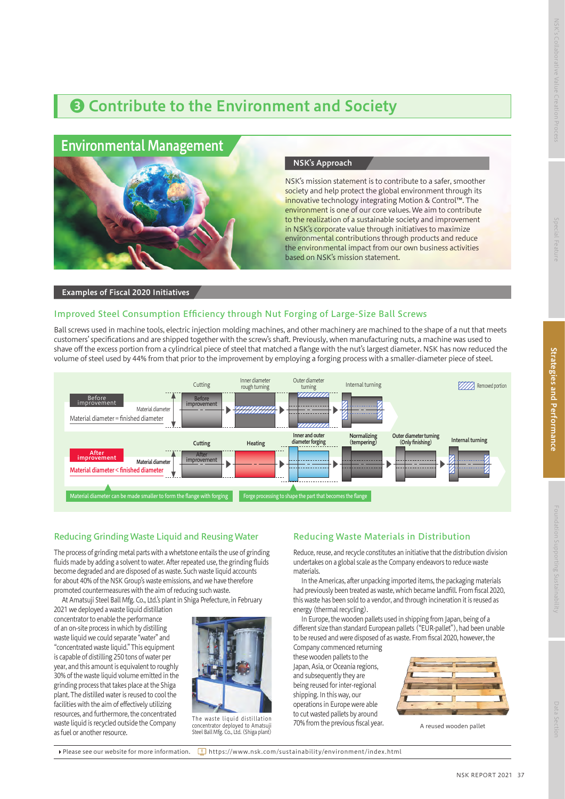## ❸ Contribute to the Environment and Society

## Environmental Management



#### NSK's Approach

NSK's mission statement is to contribute to a safer, smoother society and help protect the global environment through its innovative technology integrating Motion & Control™. The environment is one of our core values. We aim to contribute to the realization of a sustainable society and improvement in NSK's corporate value through initiatives to maximize environmental contributions through products and reduce the environmental impact from our own business activities based on NSK's mission statement.

#### Examples of Fiscal 2020 Initiatives

#### Improved Steel Consumption Efficiency through Nut Forging of Large-Size Ball Screws

Ball screws used in machine tools, electric injection molding machines, and other machinery are machined to the shape of a nut that meets customers' specifications and are shipped together with the screw's shaft. Previously, when manufacturing nuts, a machine was used to shave off the excess portion from a cylindrical piece of steel that matched a flange with the nut's largest diameter. NSK has now reduced the volume of steel used by 44% from that prior to the improvement by employing a forging process with a smaller-diameter piece of steel.



#### Reducing Grinding Waste Liquid and Reusing Water

The process of grinding metal parts with a whetstone entails the use of grinding fluids made by adding a solvent to water. After repeated use, the grinding fluids become degraded and are disposed of as waste. Such waste liquid accounts for about 40% of the NSK Group's waste emissions, and we have therefore promoted countermeasures with the aim of reducing such waste.

At Amatsuji Steel Ball Mfg. Co., Ltd.'s plant in Shiga Prefecture, in February 2021 we deployed a waste liquid distillation

concentrator to enable the performance of an on-site process in which by distilling waste liquid we could separate "water" and "concentrated waste liquid." This equipment is capable of distilling 250 tons of water per year, and this amount is equivalent to roughly 30% of the waste liquid volume emitted in the grinding process that takes place at the Shiga plant. The distilled water is reused to cool the facilities with the aim of effectively utilizing resources, and furthermore, the concentrated waste liquid is recycled outside the Company as fuel or another resource.



The waste liquid distillation concentrator deployed to Amatsuji Steel Ball Mfg. Co., Ltd. (Shiga plant)

### Reducing Waste Materials in Distribution

Reduce, reuse, and recycle constitutes an initiative that the distribution division undertakes on a global scale as the Company endeavors to reduce waste materials.

In the Americas, after unpacking imported items, the packaging materials had previously been treated as waste, which became landfill. From fiscal 2020, this waste has been sold to a vendor, and through incineration it is reused as energy (thermal recycling).

In Europe, the wooden pallets used in shipping from Japan, being of a different size than standard European pallets ("EUR-pallet"), had been unable to be reused and were disposed of as waste. From fiscal 2020, however, the

Company commenced returning these wooden pallets to the Japan, Asia, or Oceania regions, and subsequently they are being reused for inter-regional shipping. In this way, our operations in Europe were able to cut wasted pallets by around 70% from the previous fiscal year.



A reused wooden pallet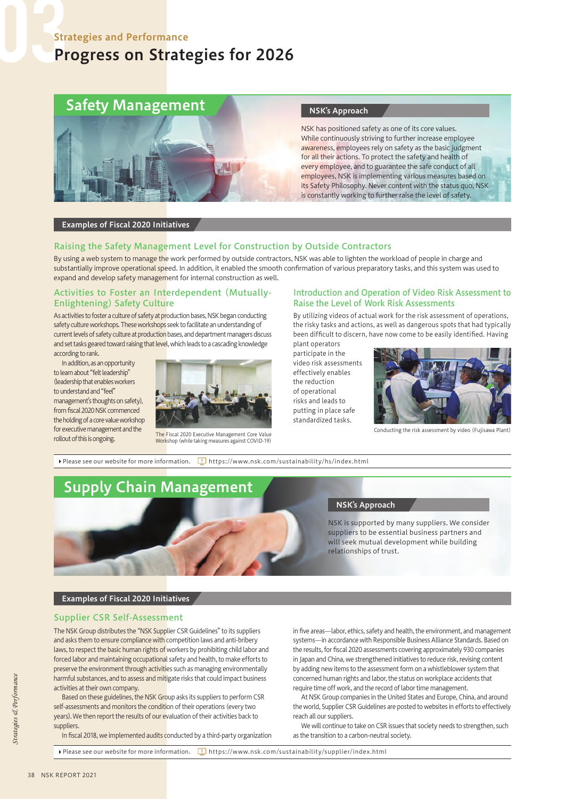## Progress on Strategies for 2026

# Safety Management



#### NSK's Approach

NSK has positioned safety as one of its core values. While continuously striving to further increase employee awareness, employees rely on safety as the basic judgment for all their actions. To protect the safety and health of every employee, and to guarantee the safe conduct of all employees, NSK is implementing various measures based on its Safety Philosophy. Never content with the status quo, NSK is constantly working to further raise the level of safety.

#### Examples of Fiscal 2020 Initiatives

#### Raising the Safety Management Level for Construction by Outside Contractors

By using a web system to manage the work performed by outside contractors, NSK was able to lighten the workload of people in charge and substantially improve operational speed. In addition, it enabled the smooth confirmation of various preparatory tasks, and this system was used to expand and develop safety management for internal construction as well.

#### Activities to Foster an Interdependent (Mutually-Enlightening) Safety Culture

As activities to foster a culture of safety at production bases, NSK began conducting safety culture workshops. These workshops seek to facilitate an understanding of current levels of safety culture at production bases, and department managers discuss and set tasks geared toward raising that level, which leads to a cascading knowledge according to rank.

In addition, as an opportunity to learn about "felt leadership" (leadership that enables workers to understand and "feel" management's thoughts on safety), from fiscal 2020 NSK commenced the holding of a core value workshop for executive management and the

rollout of this is ongoing.



The Fiscal 2020 Executive Management Core Value Workshop (while taking measures against COVID-19)

#### Introduction and Operation of Video Risk Assessment to Raise the Level of Work Risk Assessments

By utilizing videos of actual work for the risk assessment of operations, the risky tasks and actions, as well as dangerous spots that had typically been difficult to discern, have now come to be easily identified. Having

plant operators participate in the video risk assessments effectively enables the reduction of operational risks and leads to putting in place safe standardized tasks.



Conducting the risk assessment by video (Fujisawa Plant)

Please see our website for more information.  $\Box$  https://www.nsk.com/sustainability/hs/index.html

## Supply Chain Management



#### NSK's Approach

NSK is supported by many suppliers. We consider suppliers to be essential business partners and will seek mutual development while building relationships of trust.

#### Examples of Fiscal 2020 Initiatives

#### Supplier CSR Self-Assessment

The NSK Group distributes the "NSK Supplier CSR Guidelines" to its suppliers and asks them to ensure compliance with competition laws and anti-bribery laws, to respect the basic human rights of workers by prohibiting child labor and forced labor and maintaining occupational safety and health, to make efforts to preserve the environment through activities such as managing environmentally harmful substances, and to assess and mitigate risks that could impact business activities at their own company.

Based on these guidelines, the NSK Group asks its suppliers to perform CSR self-assessments and monitors the condition of their operations (every two years). We then report the results of our evaluation of their activities back to suppliers.

In fiscal 2018, we implemented audits conducted by a third-party organization

in five areas—labor, ethics, safety and health, the environment, and management systems—in accordance with Responsible Business Alliance Standards. Based on the results, for fiscal 2020 assessments covering approximately 930 companies in Japan and China, we strengthened initiatives to reduce risk, revising content by adding new items to the assessment form on a whistleblower system that concerned human rights and labor, the status on workplace accidents that require time off work, and the record of labor time management.

At NSK Group companies in the United States and Europe, China, and around the world, Supplier CSR Guidelines are posted to websites in efforts to effectively reach all our suppliers.

We will continue to take on CSR issues that society needs to strengthen, such as the transition to a carbon-neutral society.

Please see our website for more information.  $\Box$  https://www.nsk.com/sustainability/supplier/index.html